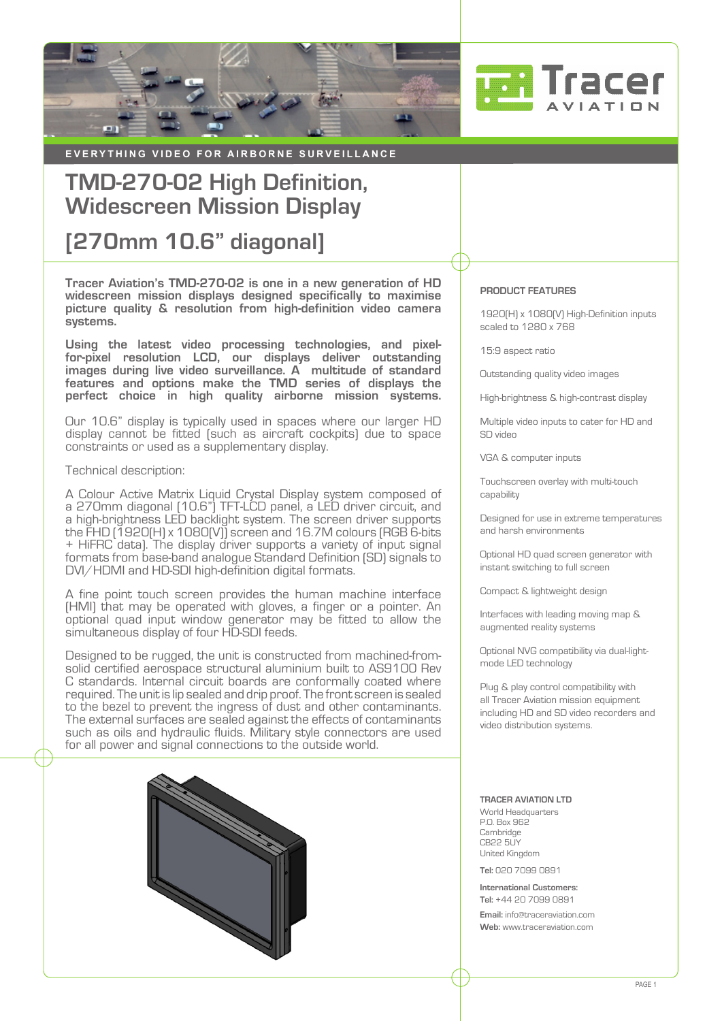



**EVERYTHING VIDEO FOR AIRBORNE SURVEILLANCE** 

# **TMD-270-02 High Definition, Widescreen Mission Display**

## **[270mm 10.6" diagonal]**

**Tracer Aviation's TMD-270-02 is one in a new generation of HD widescreen mission displays designed specifically to maximise picture quality & resolution from high-definition video camera systems.**

**Using the latest video processing technologies, and pixelfor-pixel resolution LCD, our displays deliver outstanding images during live video surveillance. A multitude of standard features and options make the TMD series of displays the perfect choice in high quality airborne mission systems.**

Our 10.6" display is typically used in spaces where our larger HD display cannot be fitted (such as aircraft cockpits) due to space constraints or used as a supplementary display.

## Technical description:

A Colour Active Matrix Liquid Crystal Display system composed of a 270mm diagonal (10.6") TFT-LCD panel, a LED driver circuit, and a high-brightness LED backlight system. The screen driver supports the FHD (1920(H) x 1080(V)) screen and 16.7M colours (RGB 6-bits + HiFRC data). The display driver supports a variety of input signal formats from base-band analogue Standard Definition (SD) signals to DVI/HDMI and HD-SDI high-definition digital formats.

A fine point touch screen provides the human machine interface (HMI) that may be operated with gloves, a finger or a pointer. An optional quad input window generator may be fitted to allow the simultaneous display of four HD-SDI feeds.

Designed to be rugged, the unit is constructed from machined-fromsolid certified aerospace structural aluminium built to AS9100 Rev C standards. Internal circuit boards are conformally coated where required. The unit is lip sealed and drip proof. The front screen is sealed to the bezel to prevent the ingress of dust and other contaminants. The external surfaces are sealed against the effects of contaminants such as oils and hydraulic fluids. Military style connectors are used for all power and signal connections to the outside world.



#### **PRODUCT FEATURES**

1920(H) x 1080(V) High-Definition inputs scaled to 1280 x 768

15:9 aspect ratio

Outstanding quality video images

High-brightness & high-contrast display

Multiple video inputs to cater for HD and SD video

VGA & computer inputs

Touchscreen overlay with multi-touch capability

Designed for use in extreme temperatures and harsh environments

Optional HD quad screen generator with instant switching to full screen

Compact & lightweight design

Interfaces with leading moving map & augmented reality systems

Optional NVG compatibility via dual-lightmode LED technology

Plug & play control compatibility with all Tracer Aviation mission equipment including HD and SD video recorders and video distribution systems.

#### **TRACER AVIATION LTD**

World Headquarters P.O. Box 962 **Cambridge** CB22 5UY United Kingdom

**Tel:** 020 7099 0891

**International Customers: Tel:** +44 20 7099 0891

**Email:** [info@traceraviation.com](mailto:info%40traceraviation.com?subject=Product%20enquiry) **Web:** [www.traceraviation.com](http://www.traceraviation.com)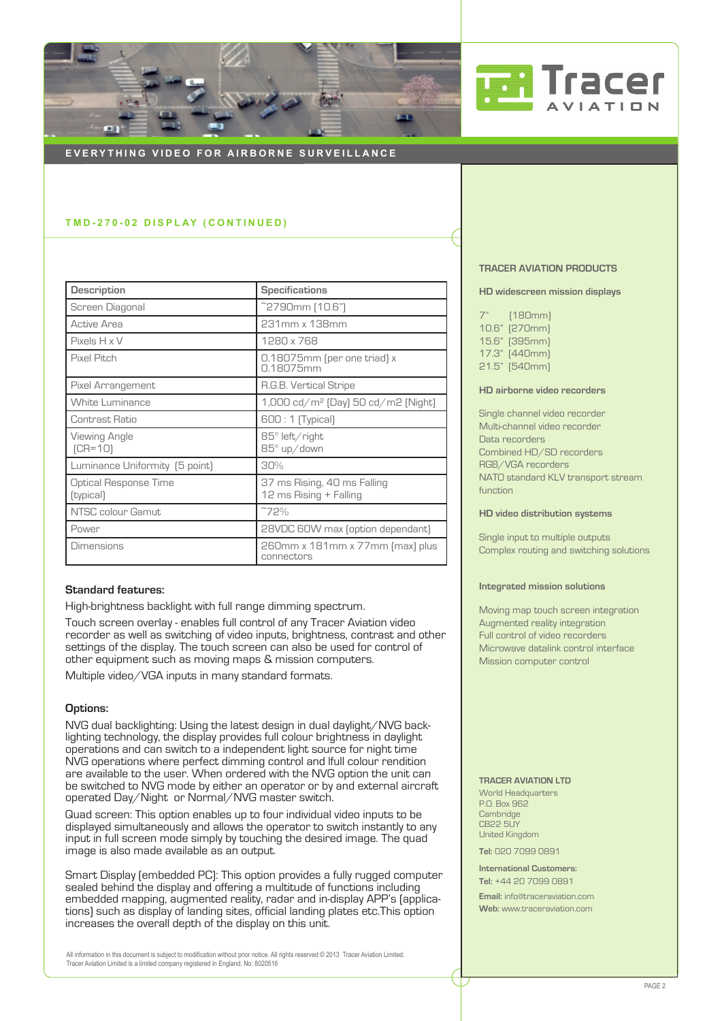



## **EVERYTHING VIDEO FOR AIRBORNE SURVEILLANCE**

## **T M D - 2 7 0 - 0 2 D I S P L AY ( C O N T I N U E D )**

| <b>Description</b>                        | <b>Specifications</b>                                   |  |  |
|-------------------------------------------|---------------------------------------------------------|--|--|
| Screen Diagonal                           | ~2790mm (10.6")                                         |  |  |
| Active Area                               | 231mm x 138mm                                           |  |  |
| $P$ ixels $H \times V$                    | 1280 x 768                                              |  |  |
| Pixel Pitch                               | 0.18075mm (per one triad) x<br>0.18075mm                |  |  |
| Pixel Arrangement                         | R.G.B. Vertical Stripe                                  |  |  |
| <b>White Luminance</b>                    | $1,000 \text{ cd/m}^2$ (Day) 50 $\text{cd/m}^2$ (Night) |  |  |
| Contrast Ratio                            | 600 : 1 (Typical)                                       |  |  |
| Viewing Angle<br>$[CR=10]$                | $85^\circ$ left/right<br>85° up/down                    |  |  |
| Luminance Uniformity [5 point]            | 30%                                                     |  |  |
| <b>Optical Response Time</b><br>[typical] | 37 ms Rising, 40 ms Falling<br>12 ms Rising + Falling   |  |  |
| NTSC colour Gamut                         | ~72%                                                    |  |  |
| Power                                     | 28VDC 60W max (option dependant)                        |  |  |
| <b>Dimensions</b>                         | 260mm x 181mm x 77mm [max] plus<br>connectors           |  |  |

## **Standard features:**

High-brightness backlight with full range dimming spectrum.

Touch screen overlay - enables full control of any Tracer Aviation video recorder as well as switching of video inputs, brightness, contrast and other settings of the display. The touch screen can also be used for control of other equipment such as moving maps & mission computers.

Multiple video/VGA inputs in many standard formats.

### **Options:**

NVG dual backlighting: Using the latest design in dual daylight/NVG backlighting technology, the display provides full colour brightness in daylight operations and can switch to a independent light source for night time NVG operations where perfect dimming control and lfull colour rendition are available to the user. When ordered with the NVG option the unit can be switched to NVG mode by either an operator or by and external aircraft operated Day/Night or Normal/NVG master switch.

Quad screen: This option enables up to four individual video inputs to be displayed simultaneously and allows the operator to switch instantly to any input in full screen mode simply by touching the desired image. The quad image is also made available as an output.

Smart Display (embedded PC): This option provides a fully rugged computer sealed behind the display and offering a multitude of functions including embedded mapping, augmented reality, radar and in-display APP's (applications) such as display of landing sites, official landing plates etc.This option increases the overall depth of the display on this unit.

All information in this document is subject to modification without prior notice. All rights reserved © 2013 Tracer Aviation Limited. Tracer Aviation Limited is a limited company registered in England. No: 8020516

#### **TRACER AVIATION PRODUCTS**

**HD widescreen mission displays**

7" (180mm) 10.6" (270mm) 15.6" (395mm) 17.3" (440mm) 21.5" (540mm)

## **HD airborne video recorders**

Single channel video recorder Multi-channel video recorder Data recorders Combined HD/SD recorders RGB/VGA recorders NATO standard KLV transport stream function

**HD video distribution systems**

Single input to multiple outputs Complex routing and switching solutions

#### **Integrated mission solutions**

Moving map touch screen integration Augmented reality integration Full control of video recorders Microwave datalink control interface Mission computer control

#### **TRACER AVIATION LTD**

World Headquarters P.O. Box 962 Cambridge CB22 5UY United Kingdom

**Tel:** 020 7099 0891

**International Customers: Tel:** +44 20 7099 0891 **Email:** [info@traceraviation.com](mailto:info%40traceraviation.com?subject=Product%20enquiry) **Web:** [www.traceraviation.com](http://www.traceraviation.com)